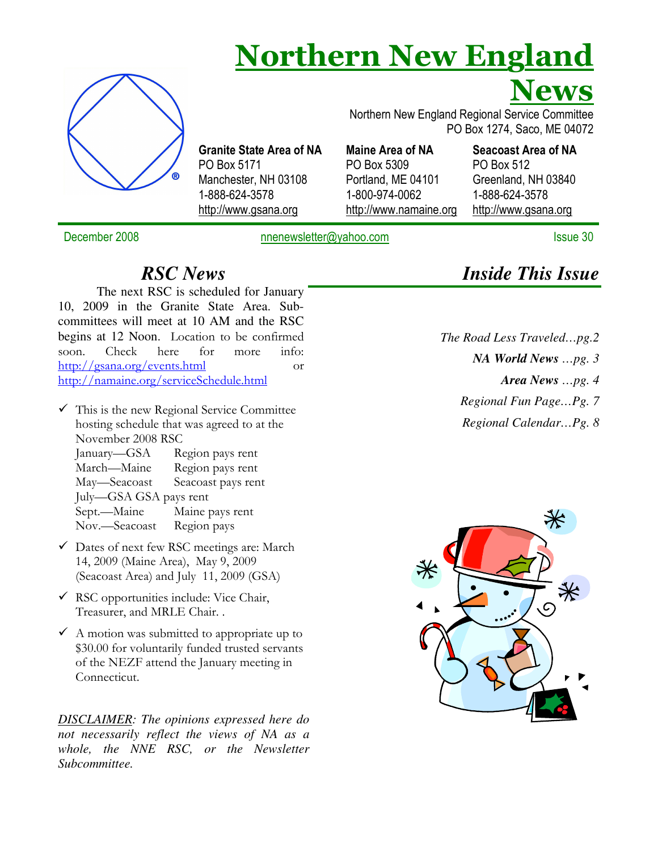# Northern New England



Granite State Area of NA PO Box 5171 Manchester, NH 03108 1-888-624-3578 http://www.gsana.org

Maine Area of NA PO Box 5309 Portland, ME 04101 1-800-974-0062

http://www.namaine.org

Seacoast Area of NA PO Box 512 Greenland, NH 03840 1-888-624-3578 http://www.gsana.org

PO Box 1274, Saco, ME 04072

Northern New England Regional Service Committee

News

December 2008 **December 2008** nnenewsletter@yahoo.com **Issue 30** Issue 30

#### *RSC News*

The next RSC is scheduled for January 10, 2009 in the Granite State Area. Subcommittees will meet at 10 AM and the RSC begins at 12 Noon. Location to be confirmed soon. Check here for more info: http://gsana.org/events.html or http://namaine.org/serviceSchedule.html

- $\checkmark$  This is the new Regional Service Committee hosting schedule that was agreed to at the November 2008 RSC January—GSA Region pays rent March—Maine Region pays rent May—Seacoast Seacoast pays rent July—GSA GSA pays rent Maine pays rent Nov.—Seacoast Region pays
- Dates of next few RSC meetings are: March 14, 2009 (Maine Area), May 9, 2009 (Seacoast Area) and July 11, 2009 (GSA)
- $\checkmark$  RSC opportunities include: Vice Chair, Treasurer, and MRLE Chair. .
- $\checkmark$  A motion was submitted to appropriate up to \$30.00 for voluntarily funded trusted servants of the NEZF attend the January meeting in Connecticut.

*DISCLAIMER: The opinions expressed here do not necessarily reflect the views of NA as a whole, the NNE RSC, or the Newsletter Subcommittee.* 

*Inside This Issue* 

*The Road Less Traveled…pg.2 NA World News …pg. 3 Area News …pg. 4 Regional Fun Page…Pg. 7 Regional Calendar…Pg. 8* 

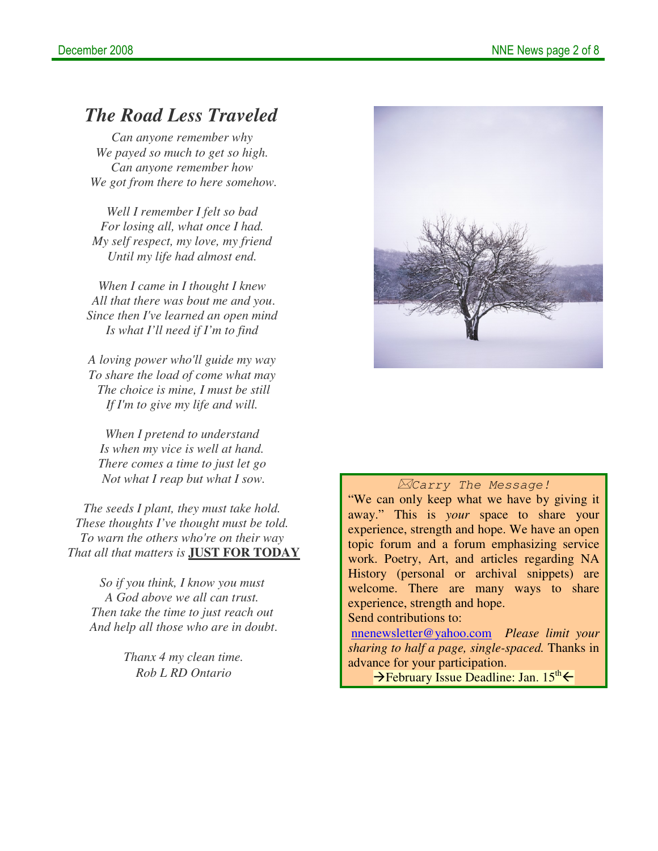#### *The Road Less Traveled*

*Can anyone remember why We payed so much to get so high. Can anyone remember how We got from there to here somehow.*

*Well I remember I felt so bad For losing all, what once I had. My self respect, my love, my friend Until my life had almost end.*

*When I came in I thought I knew All that there was bout me and you*. *Since then I've learned an open mind Is what I'll need if I'm to find*

*A loving power who'll guide my way To share the load of come what may The choice is mine, I must be still If I'm to give my life and will.*

*When I pretend to understand Is when my vice is well at hand. There comes a time to just let go Not what I reap but what I sow.*

*The seeds I plant, they must take hold. These thoughts I've thought must be told. To warn the others who're on their way That all that matters is* **JUST FOR TODAY**

*So if you think, I know you must A God above we all can trust. Then take the time to just reach out And help all those who are in doubt*.

> *Thanx 4 my clean time. Rob L RD Ontario*



#### Carry The Message!

"We can only keep what we have by giving it away." This is *your* space to share your experience, strength and hope. We have an open topic forum and a forum emphasizing service work. Poetry, Art, and articles regarding NA History (personal or archival snippets) are welcome. There are many ways to share experience, strength and hope.

#### Send contributions to:

nnenewsletter@yahoo.com *Please limit your sharing to half a page, single-spaced.* Thanks in advance for your participation.

 $\rightarrow$ February Issue Deadline: Jan. 15<sup>th</sup>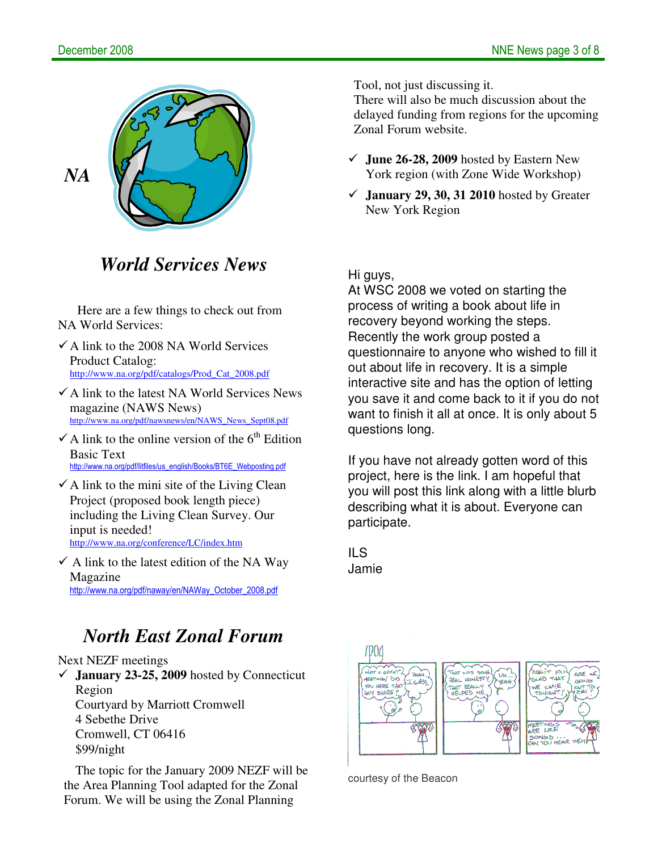

## *World Services News*

Here are a few things to check out from NA World Services:

- $\checkmark$  A link to the 2008 NA World Services Product Catalog: http://www.na.org/pdf/catalogs/Prod\_Cat\_2008.pdf
- $\checkmark$  A link to the latest NA World Services News magazine (NAWS News) http://www.na.org/pdf/nawsnews/en/NAWS\_News\_Sept08.pdf
- $\checkmark$  A link to the online version of the 6<sup>th</sup> Edition Basic Text http://www.na.org/pdf/litfiles/us\_english/Books/BT6E\_Webposting.pdf
- $\checkmark$  A link to the mini site of the Living Clean Project (proposed book length piece) including the Living Clean Survey. Our input is needed! http://www.na.org/conference/LC/index.htm
- $\checkmark$  A link to the latest edition of the NA Way Magazine http://www.na.org/pdf/naway/en/NAWay\_October\_2008.pdf

# *North East Zonal Forum*

Next NEZF meetings

 **January 23-25, 2009** hosted by Connecticut Region Courtyard by Marriott Cromwell 4 Sebethe Drive Cromwell, CT 06416 \$99/night

The topic for the January 2009 NEZF will be the Area Planning Tool adapted for the Zonal Forum. We will be using the Zonal Planning

Tool, not just discussing it.

There will also be much discussion about the delayed funding from regions for the upcoming Zonal Forum website.

- **June 26-28, 2009** hosted by Eastern New York region (with Zone Wide Workshop)
- $\checkmark$  **January 29, 30, 31 2010** hosted by Greater New York Region

Hi guys,

At WSC 2008 we voted on starting the process of writing a book about life in recovery beyond working the steps. Recently the work group posted a questionnaire to anyone who wished to fill it out about life in recovery. It is a simple interactive site and has the option of letting you save it and come back to it if you do not want to finish it all at once. It is only about 5 questions long.

If you have not already gotten word of this project, here is the link. I am hopeful that you will post this link along with a little blurb describing what it is about. Everyone can participate.

ILS Jamie



courtesy of the Beacon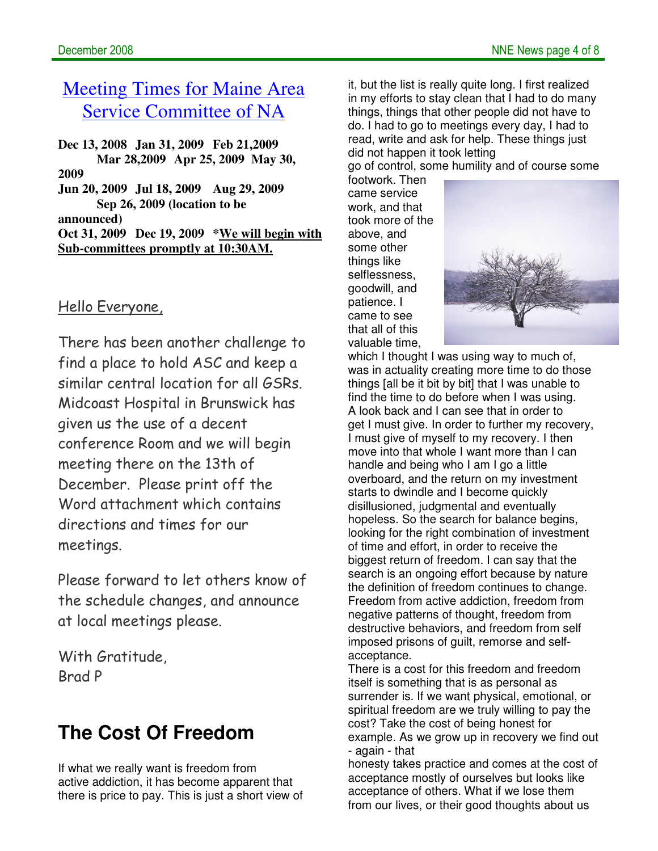# Meeting Times for Maine Area Service Committee of NA

**Dec 13, 2008 Jan 31, 2009 Feb 21,2009 Mar 28,2009 Apr 25, 2009 May 30, 2009 Jun 20, 2009 Jul 18, 2009 Aug 29, 2009 Sep 26, 2009 (location to be announced) Oct 31, 2009 Dec 19, 2009 \*We will begin with Sub-committees promptly at 10:30AM.**

#### Hello Everyone,

There has been another challenge to find a place to hold ASC and keep a similar central location for all GSRs. Midcoast Hospital in Brunswick has given us the use of a decent conference Room and we will begin meeting there on the 13th of December. Please print off the Word attachment which contains directions and times for our meetings.

Please forward to let others know of the schedule changes, and announce at local meetings please.

With Gratitude, Brad P

# **The Cost Of Freedom**

If what we really want is freedom from active addiction, it has become apparent that there is price to pay. This is just a short view of it, but the list is really quite long. I first realized in my efforts to stay clean that I had to do many things, things that other people did not have to do. I had to go to meetings every day, I had to read, write and ask for help. These things just did not happen it took letting

go of control, some humility and of course some

footwork. Then came service work, and that took more of the above, and some other things like selflessness, goodwill, and patience. I came to see that all of this valuable time,



which I thought I was using way to much of, was in actuality creating more time to do those things [all be it bit by bit] that I was unable to find the time to do before when I was using. A look back and I can see that in order to get I must give. In order to further my recovery, I must give of myself to my recovery. I then move into that whole I want more than I can handle and being who I am I go a little overboard, and the return on my investment starts to dwindle and I become quickly disillusioned, judgmental and eventually hopeless. So the search for balance begins, looking for the right combination of investment of time and effort, in order to receive the biggest return of freedom. I can say that the search is an ongoing effort because by nature the definition of freedom continues to change. Freedom from active addiction, freedom from negative patterns of thought, freedom from destructive behaviors, and freedom from self imposed prisons of guilt, remorse and selfacceptance.

There is a cost for this freedom and freedom itself is something that is as personal as surrender is. If we want physical, emotional, or spiritual freedom are we truly willing to pay the cost? Take the cost of being honest for example. As we grow up in recovery we find out - again - that

honesty takes practice and comes at the cost of acceptance mostly of ourselves but looks like acceptance of others. What if we lose them from our lives, or their good thoughts about us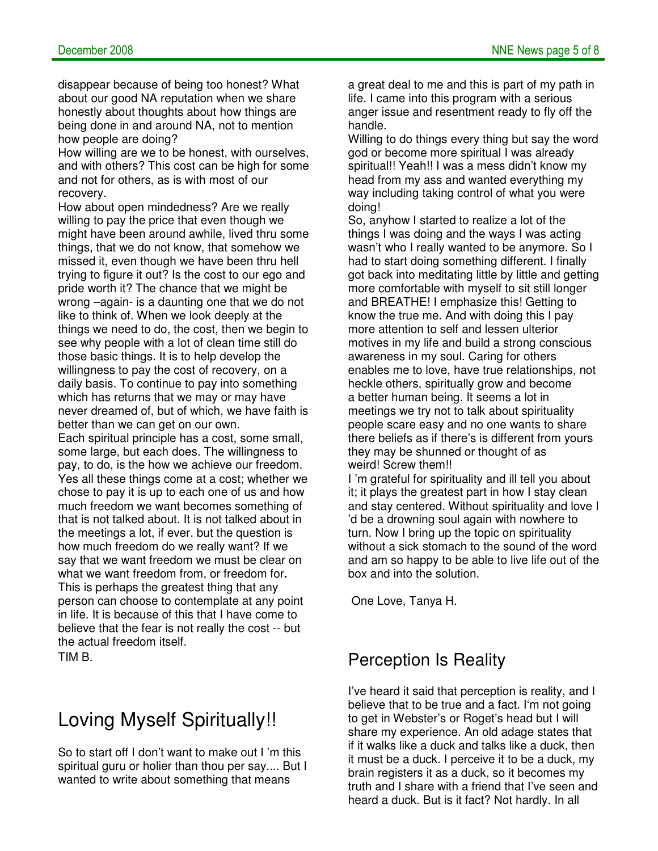disappear because of being too honest? What about our good NA reputation when we share honestly about thoughts about how things are being done in and around NA, not to mention how people are doing?

How willing are we to be honest, with ourselves, and with others? This cost can be high for some and not for others, as is with most of our recovery.

How about open mindedness? Are we really willing to pay the price that even though we might have been around awhile, lived thru some things, that we do not know, that somehow we missed it, even though we have been thru hell trying to figure it out? Is the cost to our ego and pride worth it? The chance that we might be wrong –again- is a daunting one that we do not like to think of. When we look deeply at the things we need to do, the cost, then we begin to see why people with a lot of clean time still do those basic things. It is to help develop the willingness to pay the cost of recovery, on a daily basis. To continue to pay into something which has returns that we may or may have never dreamed of, but of which, we have faith is better than we can get on our own. Each spiritual principle has a cost, some small, some large, but each does. The willingness to pay, to do, is the how we achieve our freedom. Yes all these things come at a cost; whether we chose to pay it is up to each one of us and how much freedom we want becomes something of that is not talked about. It is not talked about in the meetings a lot, if ever. but the question is how much freedom do we really want? If we say that we want freedom we must be clear on what we want freedom from, or freedom for**.**  This is perhaps the greatest thing that any person can choose to contemplate at any point in life. It is because of this that I have come to believe that the fear is not really the cost -- but the actual freedom itself. TIM B.

# Loving Myself Spiritually!!

So to start off I don't want to make out I 'm this spiritual guru or holier than thou per say.... But I wanted to write about something that means

a great deal to me and this is part of my path in life. I came into this program with a serious anger issue and resentment ready to fly off the handle.

Willing to do things every thing but say the word god or become more spiritual I was already spiritual!! Yeah!! I was a mess didn't know my head from my ass and wanted everything my way including taking control of what you were doing!

So, anyhow I started to realize a lot of the things I was doing and the ways I was acting wasn't who I really wanted to be anymore. So I had to start doing something different. I finally got back into meditating little by little and getting more comfortable with myself to sit still longer and BREATHE! I emphasize this! Getting to know the true me. And with doing this I pay more attention to self and lessen ulterior motives in my life and build a strong conscious awareness in my soul. Caring for others enables me to love, have true relationships, not heckle others, spiritually grow and become a better human being. It seems a lot in meetings we try not to talk about spirituality people scare easy and no one wants to share there beliefs as if there's is different from yours they may be shunned or thought of as weird! Screw them!!

I 'm grateful for spirituality and ill tell you about it; it plays the greatest part in how I stay clean and stay centered. Without spirituality and love I 'd be a drowning soul again with nowhere to turn. Now I bring up the topic on spirituality without a sick stomach to the sound of the word and am so happy to be able to live life out of the box and into the solution.

One Love, Tanya H.

### Perception Is Reality

I've heard it said that perception is reality, and I believe that to be true and a fact. I'm not going to get in Webster's or Roget's head but I will share my experience. An old adage states that if it walks like a duck and talks like a duck, then it must be a duck. I perceive it to be a duck, my brain registers it as a duck, so it becomes my truth and I share with a friend that I've seen and heard a duck. But is it fact? Not hardly. In all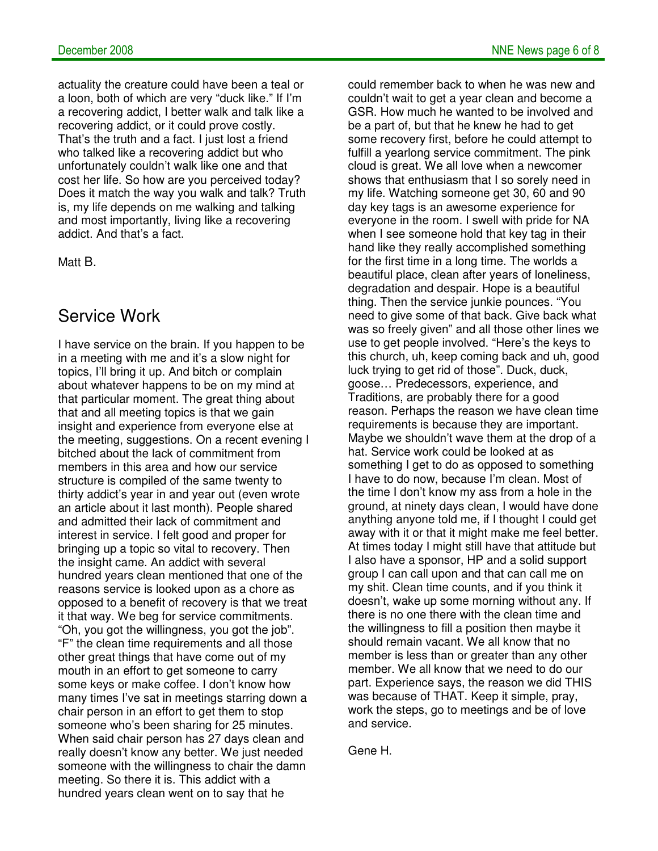actuality the creature could have been a teal or a loon, both of which are very "duck like." If I'm a recovering addict, I better walk and talk like a recovering addict, or it could prove costly. That's the truth and a fact. I just lost a friend who talked like a recovering addict but who unfortunately couldn't walk like one and that cost her life. So how are you perceived today? Does it match the way you walk and talk? Truth is, my life depends on me walking and talking and most importantly, living like a recovering addict. And that's a fact.

Matt B.

#### Service Work

I have service on the brain. If you happen to be in a meeting with me and it's a slow night for topics, I'll bring it up. And bitch or complain about whatever happens to be on my mind at that particular moment. The great thing about that and all meeting topics is that we gain insight and experience from everyone else at the meeting, suggestions. On a recent evening I bitched about the lack of commitment from members in this area and how our service structure is compiled of the same twenty to thirty addict's year in and year out (even wrote an article about it last month). People shared and admitted their lack of commitment and interest in service. I felt good and proper for bringing up a topic so vital to recovery. Then the insight came. An addict with several hundred years clean mentioned that one of the reasons service is looked upon as a chore as opposed to a benefit of recovery is that we treat it that way. We beg for service commitments. "Oh, you got the willingness, you got the job". "F" the clean time requirements and all those other great things that have come out of my mouth in an effort to get someone to carry some keys or make coffee. I don't know how many times I've sat in meetings starring down a chair person in an effort to get them to stop someone who's been sharing for 25 minutes. When said chair person has 27 days clean and really doesn't know any better. We just needed someone with the willingness to chair the damn meeting. So there it is. This addict with a hundred years clean went on to say that he

could remember back to when he was new and couldn't wait to get a year clean and become a GSR. How much he wanted to be involved and be a part of, but that he knew he had to get some recovery first, before he could attempt to fulfill a yearlong service commitment. The pink cloud is great. We all love when a newcomer shows that enthusiasm that I so sorely need in my life. Watching someone get 30, 60 and 90 day key tags is an awesome experience for everyone in the room. I swell with pride for NA when I see someone hold that key tag in their hand like they really accomplished something for the first time in a long time. The worlds a beautiful place, clean after years of loneliness, degradation and despair. Hope is a beautiful thing. Then the service junkie pounces. "You need to give some of that back. Give back what was so freely given" and all those other lines we use to get people involved. "Here's the keys to this church, uh, keep coming back and uh, good luck trying to get rid of those". Duck, duck, goose… Predecessors, experience, and Traditions, are probably there for a good reason. Perhaps the reason we have clean time requirements is because they are important. Maybe we shouldn't wave them at the drop of a hat. Service work could be looked at as something I get to do as opposed to something I have to do now, because I'm clean. Most of the time I don't know my ass from a hole in the ground, at ninety days clean, I would have done anything anyone told me, if I thought I could get away with it or that it might make me feel better. At times today I might still have that attitude but I also have a sponsor, HP and a solid support group I can call upon and that can call me on my shit. Clean time counts, and if you think it doesn't, wake up some morning without any. If there is no one there with the clean time and the willingness to fill a position then maybe it should remain vacant. We all know that no member is less than or greater than any other member. We all know that we need to do our part. Experience says, the reason we did THIS was because of THAT. Keep it simple, pray, work the steps, go to meetings and be of love and service.

Gene H.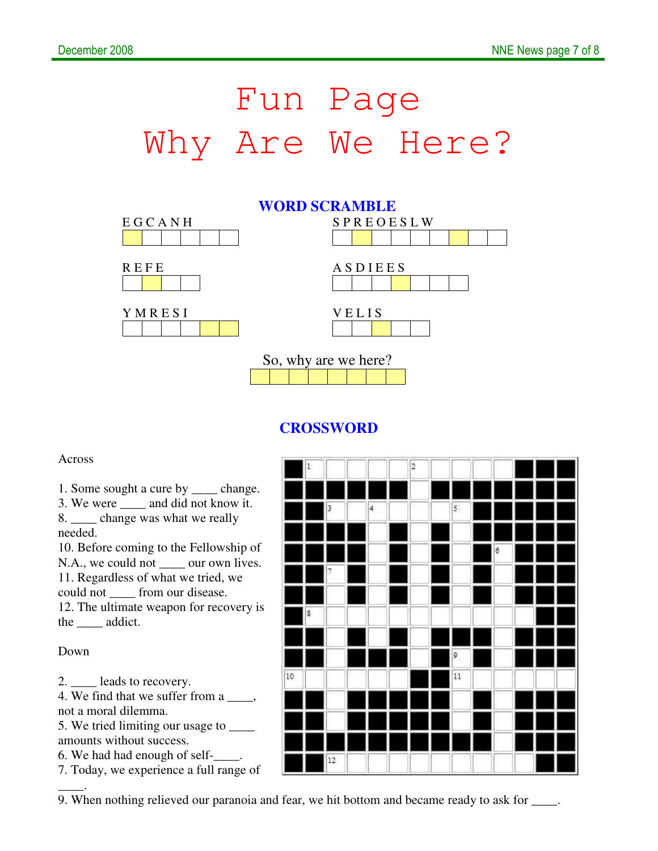# Fun Page Why Are We Here?



#### **CROSSWORD**

#### Across

1. Some sought a cure by \_\_\_\_ change.

3. We were \_\_\_\_ and did not know it. 8. \_\_\_\_ change was what we really needed.

10. Before coming to the Fellowship of N.A., we could not \_\_\_\_\_ our own lives. 11. Regardless of what we tried, we could not \_\_\_\_ from our disease. 12. The ultimate weapon for recovery is

the addict.

Down

\_\_\_\_.

2. \_\_\_\_ leads to recovery.

4. We find that we suffer from a \_\_\_\_, not a moral dilemma.

5. We tried limiting our usage to \_\_\_\_ amounts without success.

6. We had had enough of self-\_\_\_\_.

7. Today, we experience a full range of



9. When nothing relieved our paranoia and fear, we hit bottom and became ready to ask for \_\_\_\_.